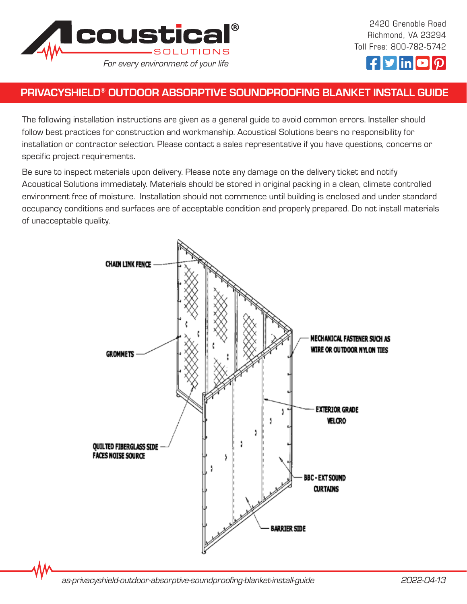



## PRIVACYSHIELD® OUTDOOR ABSORPTIVE SOUNDPROOFING BLANKET INSTALL GUIDE

The following installation instructions are given as a general guide to avoid common errors. Installer should follow best practices for construction and workmanship. Acoustical Solutions bears no responsibility for installation or contractor selection. Please contact a sales representative if you have questions, concerns or specific project requirements.

Be sure to inspect materials upon delivery. Please note any damage on the delivery ticket and notify Acoustical Solutions immediately. Materials should be stored in original packing in a clean, climate controlled environment free of moisture. Installation should not commence until building is enclosed and under standard occupancy conditions and surfaces are of acceptable condition and properly prepared. Do not install materials of unacceptable quality.

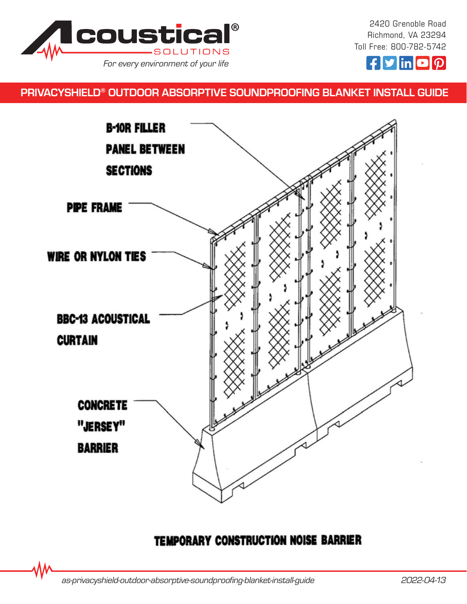

2420 Grenoble Road Richmond, VA 23294 Toll Free: 800-782-5742



# PRIVACYSHIELD® OUTDOOR ABSORPTIVE SOUNDPROOFING BLANKET INSTALL GUIDE



# TEMPORARY CONSTRUCTION NOISE BARRIER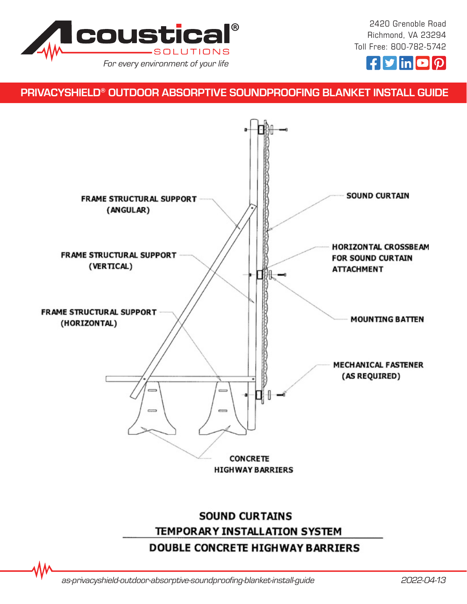

2420 Grenoble Road Richmond, VA 23294 Toll Free: 800-782-5742



### PRIVACYSHIELD® OUTDOOR ABSORPTIVE SOUNDPROOFING BLANKET INSTALL GUIDE



*as-privacyshield-outdoor-absorptive-soundproofing-blanket-install-guide 2022-04-13*